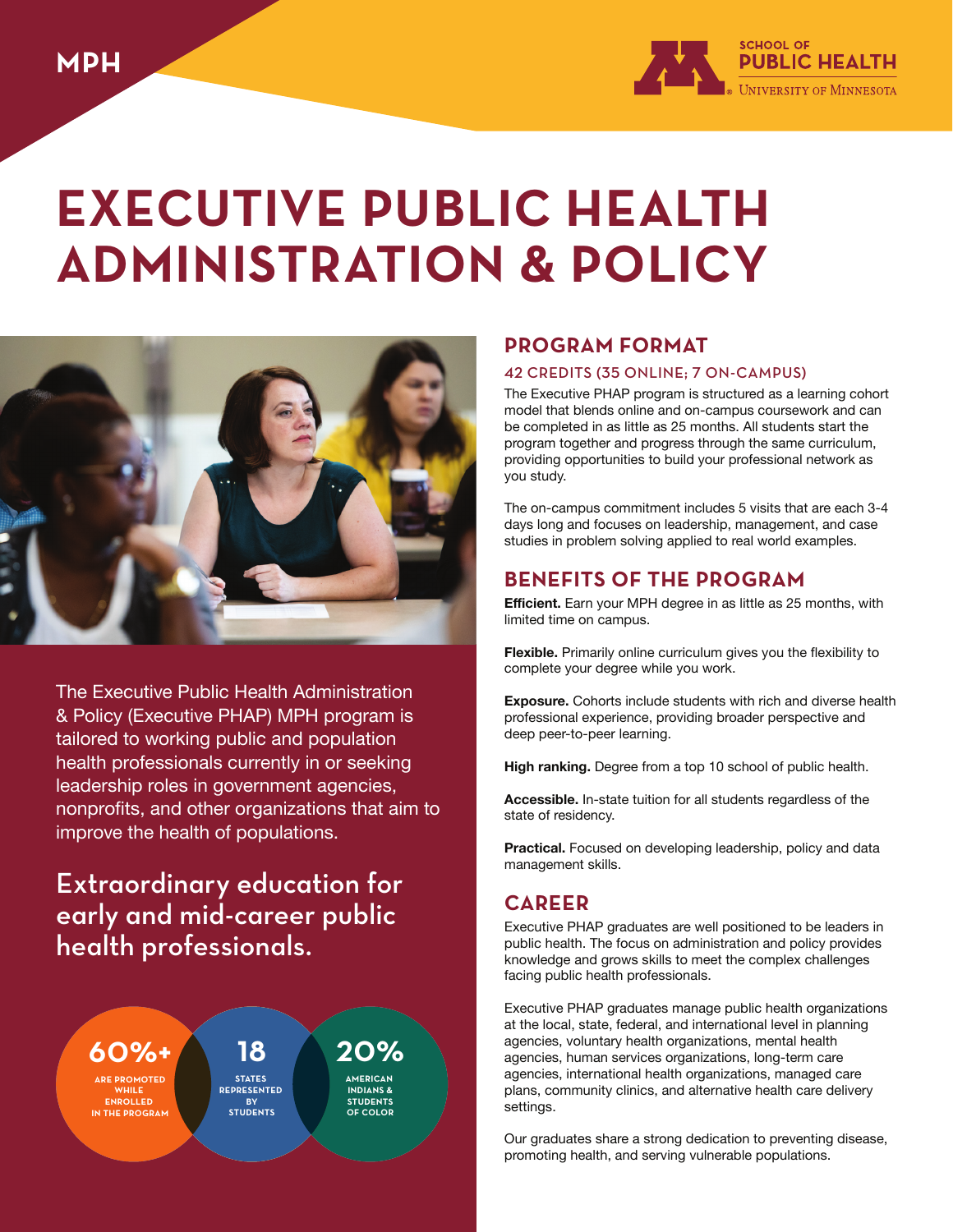

# **EXECUTIVE PUBLIC HEALTH ADMINISTRATION & POLICY**



The Executive Public Health Administration & Policy (Executive PHAP) MPH program is tailored to working public and population health professionals currently in or seeking leadership roles in government agencies, nonprofits, and other organizations that aim to improve the health of populations.

## Extraordinary education for early and mid-career public health professionals.

60%+

**AREPROMOTED WHILE ENROLLED INTHEPROGRAM**

18 **STATES REPRESENTED BY STUDENTS**

20% **INDIANS& STUDENTS OFCOLOR**

## **PROGRAM FORMAT**

#### 42 CREDITS (35 ONLINE; 7 ON-CAMPUS)

The Executive PHAP program is structured as a learning cohort model that blends online and on-campus coursework and can be completed in as little as 25 months. All students start the program together and progress through the same curriculum, providing opportunities to build your professional network as you study.

The on-campus commitment includes 5 visits that are each 3-4 days long and focuses on leadership, management, and case studies in problem solving applied to real world examples.

## **BENEFITS OF THE PROGRAM**

**Efficient.** Earn your MPH degree in as little as 25 months, with limited time on campus.

**Flexible.** Primarily online curriculum gives you the flexibility to complete your degree while you work.

**Exposure.** Cohorts include students with rich and diverse health professional experience, providing broader perspective and deep peer-to-peer learning.

**High ranking.** Degree from a top 10 school of public health.

**Accessible.** In-state tuition for all students regardless of the state of residency.

**Practical.** Focused on developing leadership, policy and data management skills.

## **CAREER**

Executive PHAP graduates are well positioned to be leaders in public health. The focus on administration and policy provides knowledge and grows skills to meet the complex challenges facing public health professionals.

Executive PHAP graduates manage public health organizations at the local, state, federal, and international level in planning agencies, voluntary health organizations, mental health agencies, human services organizations, long-term care agencies, international health organizations, managed care plans, community clinics, and alternative health care delivery settings.

Our graduates share a strong dedication to preventing disease, promoting health, and serving vulnerable populations.